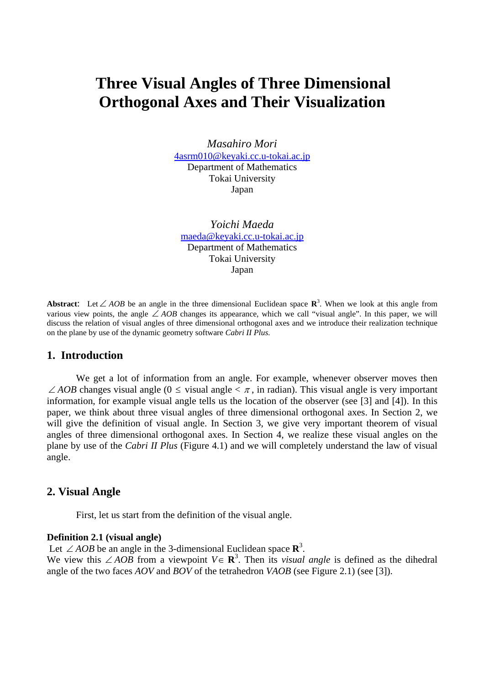# **Three Visual Angles of Three Dimensional Orthogonal Axes and Their Visualization**

*Masahiro Mori*  4asrm010@keyaki.cc.u-tokai.ac.jp Department of Mathematics Tokai University Japan

*Yoichi Maeda*  maeda@keyaki.cc.u-tokai.ac.jp Department of Mathematics Tokai University Japan

**Abstract**: Let∠ *AOB* be an angle in the three dimensional Euclidean space **R**<sup>3</sup> . When we look at this angle from various view points, the angle ∠ *AOB* changes its appearance, which we call "visual angle". In this paper, we will discuss the relation of visual angles of three dimensional orthogonal axes and we introduce their realization technique on the plane by use of the dynamic geometry software *Cabri II Plus.* 

## **1. Introduction**

We get a lot of information from an angle. For example, whenever observer moves then  $\angle AOB$  changes visual angle (0  $\leq$  visual angle  $\lt \pi$ , in radian). This visual angle is very important information, for example visual angle tells us the location of the observer (see [3] and [4]). In this paper, we think about three visual angles of three dimensional orthogonal axes. In Section 2, we will give the definition of visual angle. In Section 3, we give very important theorem of visual angles of three dimensional orthogonal axes. In Section 4, we realize these visual angles on the plane by use of the *Cabri II Plus* (Figure 4.1) and we will completely understand the law of visual angle.

## **2. Visual Angle**

First, let us start from the definition of the visual angle.

#### **Definition 2.1 (visual angle)**

Let ∠ *AOB* be an angle in the 3-dimensional Euclidean space  $\mathbb{R}^3$ .

We view this ∠ *AOB* from a viewpoint  $V \in \mathbb{R}^3$ . Then its *visual angle* is defined as the dihedral angle of the two faces *AOV* and *BOV* of the tetrahedron *VAOB* (see Figure 2.1) (see [3]).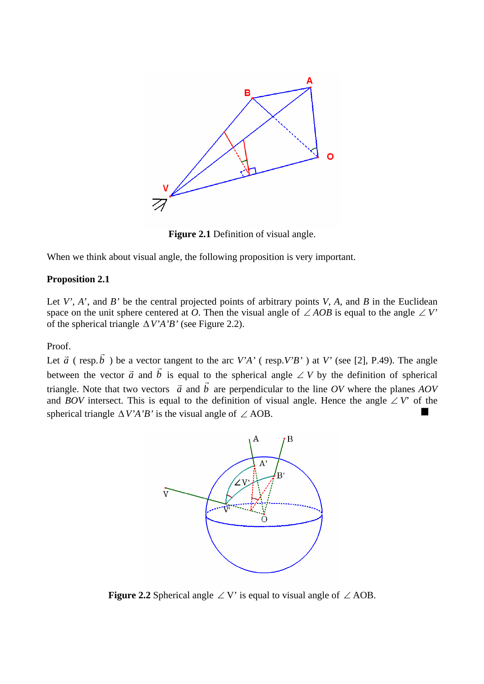

**Figure 2.1** Definition of visual angle.

When we think about visual angle, the following proposition is very important.

## **Proposition 2.1**

Let  $V'$ ,  $A'$ , and  $B'$  be the central projected points of arbitrary points  $V$ ,  $A$ , and  $B$  in the Euclidean space on the unit sphere centered at *O*. Then the visual angle of  $\angle AOB$  is equal to the angle  $\angle V'$ of the spherical triangle ∆*V'A'B'* (see Figure 2.2).

Proof.

Let  $\vec{a}$  (resp.  $\vec{b}$ ) be a vector tangent to the arc *V'A'* (resp.*V'B'*) at *V'* (see [2], P.49). The angle between the vector  $\vec{a}$  and  $\vec{b}$  is equal to the spherical angle  $\angle V$  by the definition of spherical triangle. Note that two vectors  $\vec{a}$  and  $\vec{b}$ are perpendicular to the line *OV* where the planes *AOV* and *BOV* intersect. This is equal to the definition of visual angle. Hence the angle ∠ *V*' of the spherical triangle  $\Delta V'A'B'$  is the visual angle of  $\angle$  AOB.



**Figure 2.2** Spherical angle ∠ V' is equal to visual angle of  $\angle$  AOB.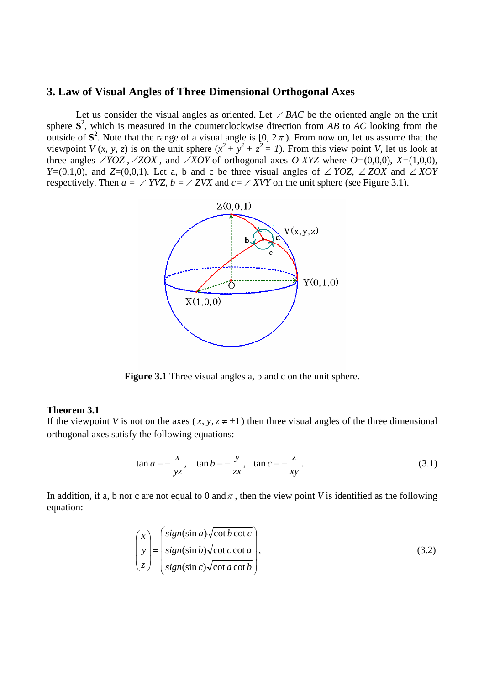# **3. Law of Visual Angles of Three Dimensional Orthogonal Axes**

Let us consider the visual angles as oriented. Let ∠ *BAC* be the oriented angle on the unit sphere  $S^2$ , which is measured in the counterclockwise direction from *AB* to *AC* looking from the outside of  $S^2$ . Note that the range of a visual angle is  $[0, 2\pi)$ . From now on, let us assume that the viewpoint *V* (*x*, *y*, *z*) is on the unit sphere  $(x^2 + y^2 + z^2 = 1)$ . From this view point *V*, let us look at three angles  $\angle YOZ$ ,  $\angle ZOX$ , and  $\angle XOY$  of orthogonal axes *O-XYZ* where  $O=(0,0,0)$ ,  $X=(1,0,0)$ *, Y*=(0,1,0)*,* and *Z*=(0,0,1). Let a, b and c be three visual angles of ∠ *YOZ,* ∠ *ZOX* and ∠ *XOY* respectively. Then  $a = \angle YVZ$ ,  $b = \angle ZVX$  and  $c = \angle XVY$  on the unit sphere (see Figure 3.1).



**Figure 3.1** Three visual angles a, b and c on the unit sphere.

#### **Theorem 3.1**

If the viewpoint *V* is not on the axes  $(x, y, z \neq \pm 1)$  then three visual angles of the three dimensional orthogonal axes satisfy the following equations:

$$
\tan a = -\frac{x}{yz}, \quad \tan b = -\frac{y}{zx}, \quad \tan c = -\frac{z}{xy}.
$$
 (3.1)

In addition, if a, b nor c are not equal to 0 and  $\pi$ , then the view point *V* is identified as the following equation:

$$
\begin{pmatrix} x \\ y \\ z \end{pmatrix} = \begin{pmatrix} sign(\sin a) \sqrt{\cot b \cot c} \\ sign(\sin b) \sqrt{\cot c \cot a} \\ sign(\sin c) \sqrt{\cot a \cot b} \end{pmatrix},
$$
\n(3.2)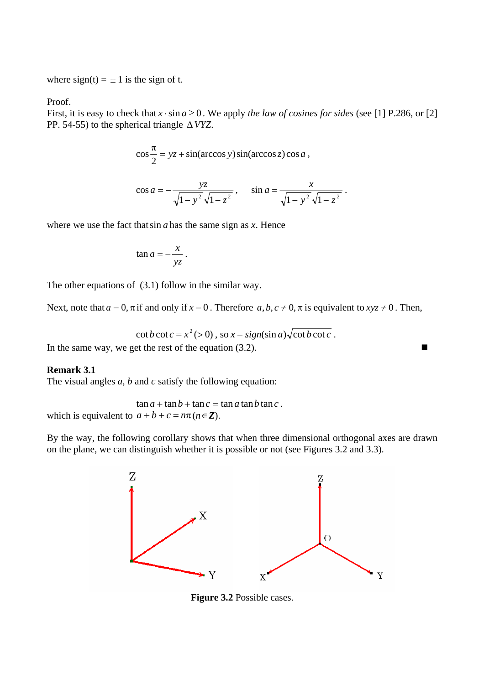where  $sign(t) = \pm 1$  is the sign of t.

Proof.

First, it is easy to check that  $x \cdot \sin a \ge 0$ . We apply *the law of cosines for sides* (see [1] P.286, or [2] PP. 54-55) to the spherical triangle  $\triangle VYZ$ .

$$
\cos\frac{\pi}{2} = yz + \sin(\arccos y)\sin(\arccos z)\cos a,
$$

$$
\cos a = -\frac{yz}{\sqrt{1 - y^2}\sqrt{1 - z^2}}, \quad \sin a = \frac{x}{\sqrt{1 - y^2}\sqrt{1 - z^2}}.
$$

where we use the fact thatsin *a* has the same sign as *x*. Hence

$$
\tan a = -\frac{x}{yz} \, .
$$

The other equations of (3.1) follow in the similar way.

Next, note that  $a = 0$ ,  $\pi$  if and only if  $x = 0$ . Therefore  $a, b, c \neq 0$ ,  $\pi$  is equivalent to  $xyz \neq 0$ . Then,

$$
\cot b \cot c = x^2 (>0), \text{ so } x = sign(\sin a) \sqrt{\cot b \cot c}.
$$

In the same way, we get the rest of the equation (3.2).

## **Remark 3.1**

The visual angles *a, b* and *c* satisfy the following equation:

 $\tan a + \tan b + \tan c = \tan a \tan b \tan c$ . which is equivalent to  $a + b + c = n\pi (n \in \mathbb{Z})$ .

By the way, the following corollary shows that when three dimensional orthogonal axes are drawn on the plane, we can distinguish whether it is possible or not (see Figures 3.2 and 3.3).



**Figure 3.2** Possible cases.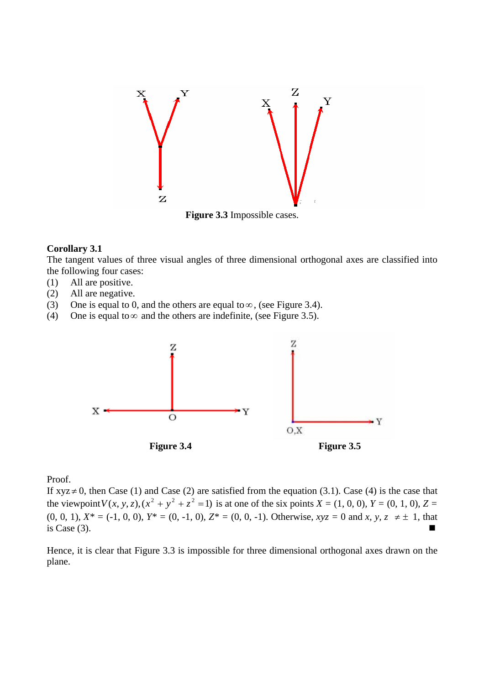

#### **Corollary 3.1**

The tangent values of three visual angles of three dimensional orthogonal axes are classified into the following four cases:

- (1) All are positive.
- (2) All are negative.
- (3) One is equal to 0, and the others are equal to  $\infty$ , (see Figure 3.4).
- (4) One is equal to  $\infty$  and the others are indefinite, (see Figure 3.5).



Proof.

If  $xyz \neq 0$ , then Case (1) and Case (2) are satisfied from the equation (3.1). Case (4) is the case that the viewpoint  $V(x, y, z)$ ,  $(x^2 + y^2 + z^2 = 1)$  is at one of the six points  $X = (1, 0, 0)$ ,  $Y = (0, 1, 0)$ ,  $Z =$  $(0, 0, 1), X^* = (-1, 0, 0), Y^* = (0, -1, 0), Z^* = (0, 0, -1).$  Otherwise,  $xyz = 0$  and  $x, y, z \neq \pm 1$ , that is Case  $(3)$ .

Hence, it is clear that Figure 3.3 is impossible for three dimensional orthogonal axes drawn on the plane.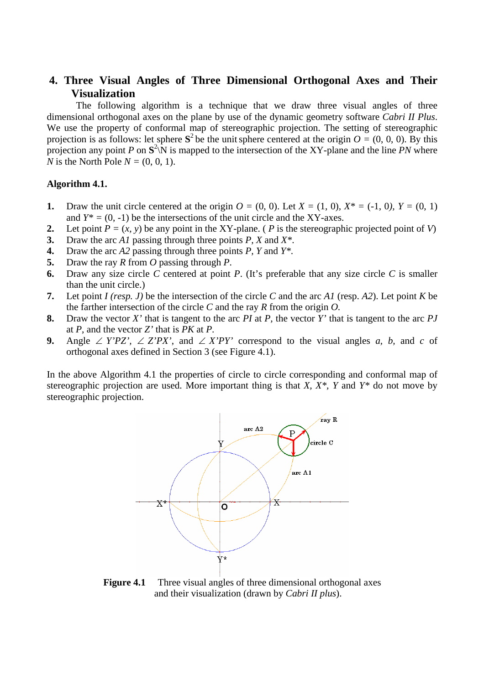# **4. Three Visual Angles of Three Dimensional Orthogonal Axes and Their Visualization**

The following algorithm is a technique that we draw three visual angles of three dimensional orthogonal axes on the plane by use of the dynamic geometry software *Cabri II Plus*. We use the property of conformal map of stereographic projection. The setting of stereographic projection is as follows: let sphere  $S^2$  be the unit sphere centered at the origin  $O = (0, 0, 0)$ . By this projection any point *P* on  $S^2\N$  is mapped to the intersection of the XY-plane and the line *PN* where *N* is the North Pole  $N = (0, 0, 1)$ .

## **Algorithm 4.1.**

- **1.** Draw the unit circle centered at the origin  $O = (0, 0)$ . Let  $X = (1, 0)$ ,  $X^* = (-1, 0)$ ,  $Y = (0, 1)$ and  $Y^* = (0, -1)$  be the intersections of the unit circle and the XY-axes.
- **2.** Let point  $P = (x, y)$  be any point in the XY-plane. (*P* is the stereographic projected point of *V*)
- **3.** Draw the arc *A1* passing through three points *P, X* and *X\**.
- **4.** Draw the arc *A2* passing through three points *P, Y* and *Y\**.
- **5.** Draw the ray *R* from *O* passing through *P*.
- **6.** Draw any size circle *C* centered at point *P*. (It's preferable that any size circle *C* is smaller than the unit circle.)
- **7.** Let point *I (resp. J)* be the intersection of the circle *C* and the arc *A1* (resp. *A2*). Let point *K* be the farther intersection of the circle *C* and the ray *R* from the origin *O.*
- **8.** Draw the vector *X'* that is tangent to the arc *PI* at *P,* the vector *Y'* that is tangent to the arc *PJ* at *P*, and the vector *Z'* that is *PK* at *P*.
- **9.** Angle ∠  $Y'PZ'$ , ∠  $Z'PX'$ , and ∠  $X'PY'$  correspond to the visual angles *a*, *b*, and *c* of orthogonal axes defined in Section 3 (see Figure 4.1).

In the above Algorithm 4.1 the properties of circle to circle corresponding and conformal map of stereographic projection are used. More important thing is that *X, X\*, Y* and *Y\** do not move by stereographic projection.



**Figure 4.1** Three visual angles of three dimensional orthogonal axes and their visualization (drawn by *Cabri II plus*).